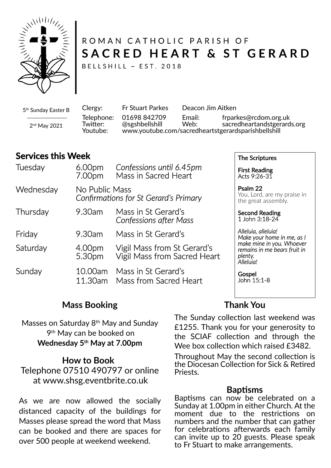

# ROMAN CATHOLIC PARISH OF SACRED HEART & ST GERARD

BELLSHILL ~ EST. 2018

5 th Sunday Easter B

2 nd May 2021

Clergy: Fr Stuart Parkes Deacon Jim Aitken Telephone: 01698 842709 Email: frparkes@rcdom.org.uk Twi�er: @sgshbellshill Web: sacredheartandstgerards.org Youtube: www.youtube.com/sacredheartstgerardsparishbellshill

# **Services this Week**

| Tuesday   | 6.00 <sub>pm</sub><br>7.00pm                            | Confessions until 6.45pm<br>Mass in Sacred Heart            | <b>First Reading</b><br>Acts 9:26-31                                              |
|-----------|---------------------------------------------------------|-------------------------------------------------------------|-----------------------------------------------------------------------------------|
| Wednesday | No Public Mass<br>Confirmations for St Gerard's Primary |                                                             | Psalm 22<br>You, Lord, are my praise in<br>the great assembly.                    |
| Thursday  | 9.30am                                                  | Mass in St Gerard's<br><b>Confessions after Mass</b>        | <b>Second Reading</b><br>1 John 3:18-24                                           |
| Friday    | 9.30am                                                  | Mass in St Gerard's                                         | Alleluia, alleluia!<br>Make your home in me, as I                                 |
| Saturday  | 4.00pm<br>5.30pm                                        | Vigil Mass from St Gerard's<br>Vigil Mass from Sacred Heart | make mine in you. Whoever<br>remains in me bears fruit in<br>plenty.<br>Alleluia! |
| Sunday    | 10.00am<br>11.30am                                      | Mass in St Gerard's<br>Mass from Sacred Heart               | Gospel<br>John 15:1-8                                                             |

# **Mass Booking**

Masses on Saturday 8<sup>th</sup> May and Sunday 9 th May can be booked on **Wednesday 5th May at 7.00pm**

### **How to Book**

Telephone 07510 490797 or online at www.shsg.eventbrite.co.uk

As we are now allowed the socially distanced capacity of the buildings for Masses please spread the word that Mass can be booked and there are spaces for over 500 people at weekend weekend.

### **Thank You**

The Scriptures

The Sunday collection last weekend was £1255. Thank you for your generosity to the SCIAF collection and through the Wee box collection which raised £3482.

Throughout May the second collection is the Diocesan Collection for Sick & Retired Priests.

### **Bap�sms**

Baptisms can now be celebrated on a Sunday at 1.00pm in either Church. At the moment due to the restrictions on numbers and the number that can gather for celebrations afterwards each family can invite up to 20 guests. Please speak to Fr Stuart to make arrangements.